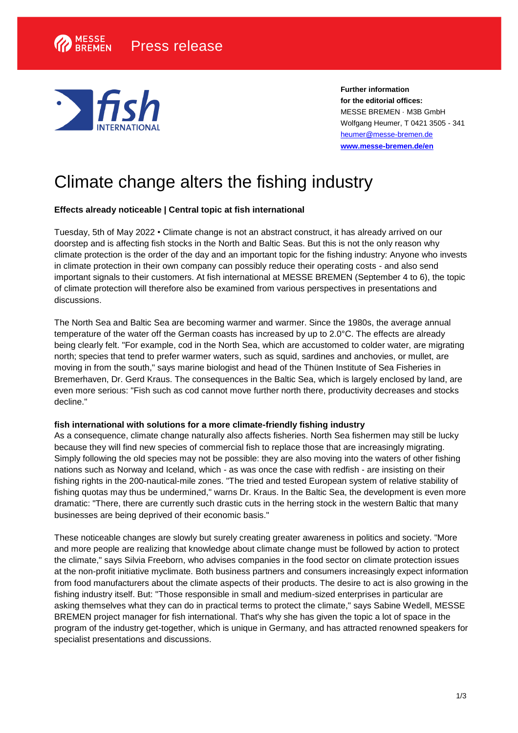

**Further information for the editorial offices:** MESSE BREMEN · M3B GmbH Wolfgang Heumer, T 0421 3505 - 341 [heumer@messe-bremen.de](mailto:heumer@messe-bremen.de) **[www.messe-bremen.de/](https://www.messe-bremen.de/)en**

# Climate change alters the fishing industry

# **Effects already noticeable | Central topic at fish international**

Tuesday, 5th of May 2022 • Climate change is not an abstract construct, it has already arrived on our doorstep and is affecting fish stocks in the North and Baltic Seas. But this is not the only reason why climate protection is the order of the day and an important topic for the fishing industry: Anyone who invests in climate protection in their own company can possibly reduce their operating costs - and also send important signals to their customers. At fish international at MESSE BREMEN (September 4 to 6), the topic of climate protection will therefore also be examined from various perspectives in presentations and discussions.

The North Sea and Baltic Sea are becoming warmer and warmer. Since the 1980s, the average annual temperature of the water off the German coasts has increased by up to 2.0°C. The effects are already being clearly felt. "For example, cod in the North Sea, which are accustomed to colder water, are migrating north; species that tend to prefer warmer waters, such as squid, sardines and anchovies, or mullet, are moving in from the south," says marine biologist and head of the Thünen Institute of Sea Fisheries in Bremerhaven, Dr. Gerd Kraus. The consequences in the Baltic Sea, which is largely enclosed by land, are even more serious: "Fish such as cod cannot move further north there, productivity decreases and stocks decline."

#### **fish international with solutions for a more climate-friendly fishing industry**

As a consequence, climate change naturally also affects fisheries. North Sea fishermen may still be lucky because they will find new species of commercial fish to replace those that are increasingly migrating. Simply following the old species may not be possible: they are also moving into the waters of other fishing nations such as Norway and Iceland, which - as was once the case with redfish - are insisting on their fishing rights in the 200-nautical-mile zones. "The tried and tested European system of relative stability of fishing quotas may thus be undermined," warns Dr. Kraus. In the Baltic Sea, the development is even more dramatic: "There, there are currently such drastic cuts in the herring stock in the western Baltic that many businesses are being deprived of their economic basis."

These noticeable changes are slowly but surely creating greater awareness in politics and society. "More and more people are realizing that knowledge about climate change must be followed by action to protect the climate," says Silvia Freeborn, who advises companies in the food sector on climate protection issues at the non-profit initiative myclimate. Both business partners and consumers increasingly expect information from food manufacturers about the climate aspects of their products. The desire to act is also growing in the fishing industry itself. But: "Those responsible in small and medium-sized enterprises in particular are asking themselves what they can do in practical terms to protect the climate," says Sabine Wedell, MESSE BREMEN project manager for fish international. That's why she has given the topic a lot of space in the program of the industry get-together, which is unique in Germany, and has attracted renowned speakers for specialist presentations and discussions.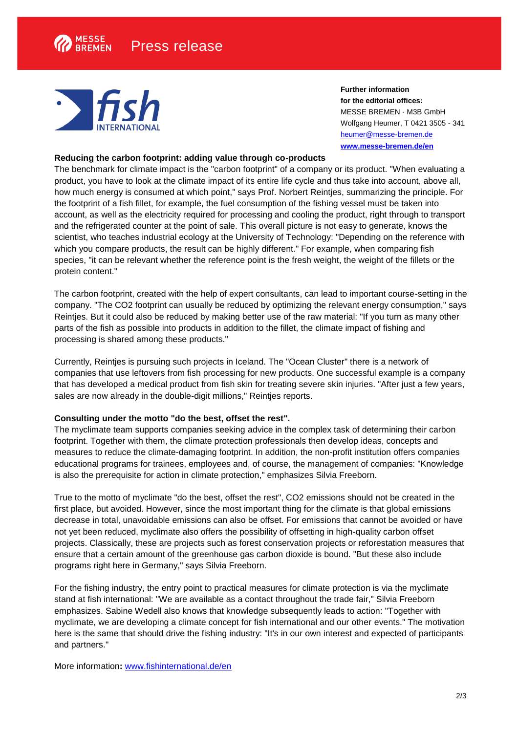

**Further information for the editorial offices:** MESSE BREMEN · M3B GmbH Wolfgang Heumer, T 0421 3505 - 341 [heumer@messe-bremen.de](mailto:heumer@messe-bremen.de) **[www.messe-bremen.de/](https://www.messe-bremen.de/)en**

#### **Reducing the carbon footprint: adding value through co-products**

The benchmark for climate impact is the "carbon footprint" of a company or its product. "When evaluating a product, you have to look at the climate impact of its entire life cycle and thus take into account, above all, how much energy is consumed at which point," says Prof. Norbert Reintjes, summarizing the principle. For the footprint of a fish fillet, for example, the fuel consumption of the fishing vessel must be taken into account, as well as the electricity required for processing and cooling the product, right through to transport and the refrigerated counter at the point of sale. This overall picture is not easy to generate, knows the scientist, who teaches industrial ecology at the University of Technology: "Depending on the reference with which you compare products, the result can be highly different." For example, when comparing fish species, "it can be relevant whether the reference point is the fresh weight, the weight of the fillets or the protein content."

The carbon footprint, created with the help of expert consultants, can lead to important course-setting in the company. "The CO2 footprint can usually be reduced by optimizing the relevant energy consumption," says Reintjes. But it could also be reduced by making better use of the raw material: "If you turn as many other parts of the fish as possible into products in addition to the fillet, the climate impact of fishing and processing is shared among these products."

Currently, Reintjes is pursuing such projects in Iceland. The "Ocean Cluster" there is a network of companies that use leftovers from fish processing for new products. One successful example is a company that has developed a medical product from fish skin for treating severe skin injuries. "After just a few years, sales are now already in the double-digit millions," Reintjes reports.

### **Consulting under the motto "do the best, offset the rest".**

The myclimate team supports companies seeking advice in the complex task of determining their carbon footprint. Together with them, the climate protection professionals then develop ideas, concepts and measures to reduce the climate-damaging footprint. In addition, the non-profit institution offers companies educational programs for trainees, employees and, of course, the management of companies: "Knowledge is also the prerequisite for action in climate protection," emphasizes Silvia Freeborn.

True to the motto of myclimate "do the best, offset the rest", CO2 emissions should not be created in the first place, but avoided. However, since the most important thing for the climate is that global emissions decrease in total, unavoidable emissions can also be offset. For emissions that cannot be avoided or have not yet been reduced, myclimate also offers the possibility of offsetting in high-quality carbon offset projects. Classically, these are projects such as forest conservation projects or reforestation measures that ensure that a certain amount of the greenhouse gas carbon dioxide is bound. "But these also include programs right here in Germany," says Silvia Freeborn.

For the fishing industry, the entry point to practical measures for climate protection is via the myclimate stand at fish international: "We are available as a contact throughout the trade fair," Silvia Freeborn emphasizes. Sabine Wedell also knows that knowledge subsequently leads to action: "Together with myclimate, we are developing a climate concept for fish international and our other events." The motivation here is the same that should drive the fishing industry: "It's in our own interest and expected of participants and partners."

More information**:** [www.fishinternational.de/en](http://www.fishinternational.de/en)